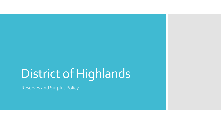# District of Highlands

Reserves and Surplus Policy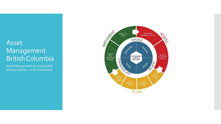## Asset Management British Columbia

Asset Management for Sustainable Service Delivery –A BC Framework

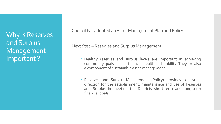Why is Reserves and Surplus Management Important ?

Council has adopted an Asset Management Plan and Policy.

Next Step – Reserves and Surplus Management

- Healthy reserves and surplus levels are important in achieving community goals such as financial health and stability. They are also a component of sustainable asset management.
- Reserves and Surplus Management (Policy) provides consistent direction for the establishment, maintenance and use of Reserves and Surplus in meeting the Districts short-term and long-term financial goals.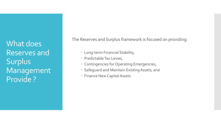What does Reserves and Surplus Management Provide ?

The Reserves and Surplus framework is focused on providing:

- Long-term Financial Stability,
- Predictable Tax Levies,
- Contingencies for Operating Emergencies,
- Safeguard and Maintain Existing Assets, and
- Finance New Capital Assets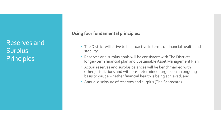Reserves and Surplus **Principles** 

**Using four fundamental principles:**

- The District will strive to be proactive in terms of financial health and stability;
- Reserves and surplus goals will be consistent with The Districts longer-term financial plan and Sustainable Asset Management Plan;
- Actual reserves and surplus balances will be benchmarked with other jurisdictions and with pre-determined targets on an ongoing basis to gauge whether financial health is being achieved, and
- Annual disclosure of reserves and surplus (The Scorecard).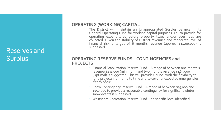## Reserves and Surplus

#### **OPERATING (WORKING) CAPITAL**

The District will maintain an Unappropriated Surplus balance in its General Operating Fund for working capital purposes, i.e. to provide for operating expenditures before property taxes and/or user fees are collected. Given the stability of District revenues and moderate level of financial risk a target of 6 months revenue (approx. \$1,400,000) is suggested.

#### **OPERATING RESERVE FUNDS – CONTINGENCIES and PROJECTS**

- Financial Stabilization Reserve Fund A range of between one month's revenue \$231,000 (minimum) and two months revenue \$463,000 (Optimal) is suggested. This will provide Council with the flexibility to fund projects from time to time and to cover unexpected emergencies if they occur.
- Snow Contingency Reserve Fund A range of between \$75,000 and \$150,000 to provide a reasonable contingency for significant winter snow events is suggested.
- Westshore Recreation Reserve Fund no specific level identified.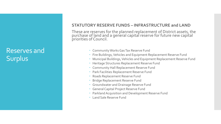## Reserves and Surplus

#### **STATUTORY RESERVE FUNDS – INFRASTRUCTURE and LAND**

These are reserves for the planned replacement of District assets, the purchase of land and a general capital reserve for future new capital priorities of Council.

- Community Works Gas Tax Reserve Fund
- Fire Buildings, Vehicles and Equipment Replacement Reserve Fund
- Municipal Buildings, Vehicles and Equipment Replacement Reserve Fund
- Heritage Structures Replacement Reserve Fund
- Community Hall Replacement Reserve Fund
- Park Facilities Replacement Reserve Fund
- Roads Replacement Reserve Fund
- Bridge Replacement Reserve Fund
- Groundwater and Drainage Reserve Fund
- General Capital Project Reserve Fund
- Parkland Acquisition and Development Reserve Fund
- Land Sale Reserve Fund